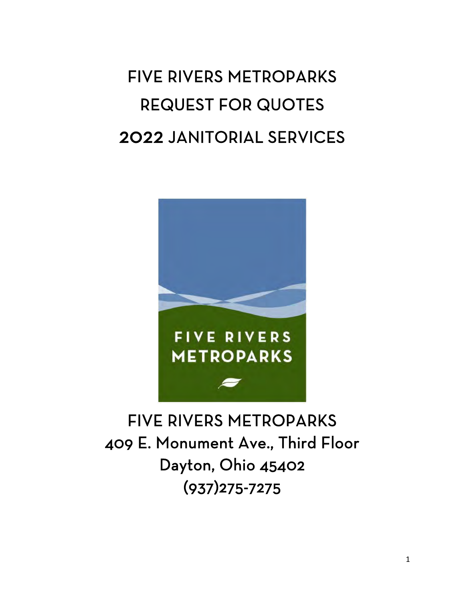# FIVE RIVERS METROPARKS REQUEST FOR QUOTES 2022 JANITORIAL SERVICES



## FIVE RIVERS METROPARKS 409 E. Monument Ave., Third Floor Dayton, Ohio 45402 (937)275-7275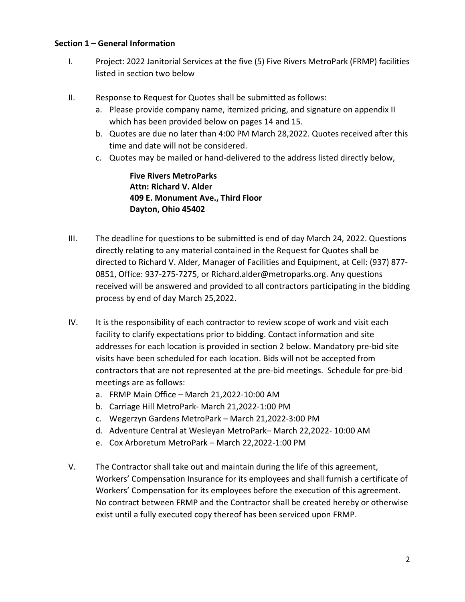#### **Section 1 – General Information**

- I. Project: 2022 Janitorial Services at the five (5) Five Rivers MetroPark (FRMP) facilities listed in section two below
- II. Response to Request for Quotes shall be submitted as follows:
	- a. Please provide company name, itemized pricing, and signature on appendix II which has been provided below on pages 14 and 15.
	- b. Quotes are due no later than 4:00 PM March 28,2022. Quotes received after this time and date will not be considered.
	- c. Quotes may be mailed or hand-delivered to the address listed directly below,

**Five Rivers MetroParks Attn: Richard V. Alder 409 E. Monument Ave., Third Floor Dayton, Ohio 45402**

- III. The deadline for questions to be submitted is end of day March 24, 2022. Questions directly relating to any material contained in the Request for Quotes shall be directed to Richard V. Alder, Manager of Facilities and Equipment, at Cell: (937) 877- 0851, Office: 937-275-7275, or Richard.alder@metroparks.org. Any questions received will be answered and provided to all contractors participating in the bidding process by end of day March 25,2022.
- IV. It is the responsibility of each contractor to review scope of work and visit each facility to clarify expectations prior to bidding. Contact information and site addresses for each location is provided in section 2 below. Mandatory pre-bid site visits have been scheduled for each location. Bids will not be accepted from contractors that are not represented at the pre-bid meetings. Schedule for pre-bid meetings are as follows:
	- a. FRMP Main Office March 21,2022-10:00 AM
	- b. Carriage Hill MetroPark- March 21,2022-1:00 PM
	- c. Wegerzyn Gardens MetroPark March 21,2022-3:00 PM
	- d. Adventure Central at Wesleyan MetroPark– March 22,2022- 10:00 AM
	- e. Cox Arboretum MetroPark March 22,2022-1:00 PM
- V. The Contractor shall take out and maintain during the life of this agreement, Workers' Compensation Insurance for its employees and shall furnish a certificate of Workers' Compensation for its employees before the execution of this agreement. No contract between FRMP and the Contractor shall be created hereby or otherwise exist until a fully executed copy thereof has been serviced upon FRMP.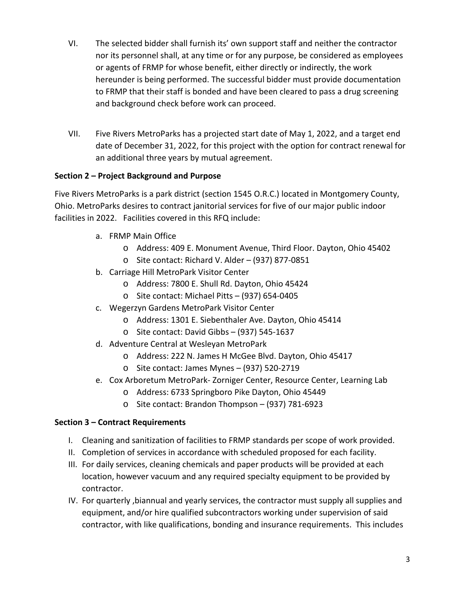- VI. The selected bidder shall furnish its' own support staff and neither the contractor nor its personnel shall, at any time or for any purpose, be considered as employees or agents of FRMP for whose benefit, either directly or indirectly, the work hereunder is being performed. The successful bidder must provide documentation to FRMP that their staff is bonded and have been cleared to pass a drug screening and background check before work can proceed.
- VII. Five Rivers MetroParks has a projected start date of May 1, 2022, and a target end date of December 31, 2022, for this project with the option for contract renewal for an additional three years by mutual agreement.

#### **Section 2 – Project Background and Purpose**

Five Rivers MetroParks is a park district (section 1545 O.R.C.) located in Montgomery County, Ohio. MetroParks desires to contract janitorial services for five of our major public indoor facilities in 2022. Facilities covered in this RFQ include:

- a. FRMP Main Office
	- o Address: 409 E. Monument Avenue, Third Floor. Dayton, Ohio 45402
	- o Site contact: Richard V. Alder (937) 877-0851
- b. Carriage Hill MetroPark Visitor Center
	- o Address: 7800 E. Shull Rd. Dayton, Ohio 45424
	- o Site contact: Michael Pitts (937) 654-0405
- c. Wegerzyn Gardens MetroPark Visitor Center
	- o Address: 1301 E. Siebenthaler Ave. Dayton, Ohio 45414
	- o Site contact: David Gibbs (937) 545-1637
- d. Adventure Central at Wesleyan MetroPark
	- o Address: 222 N. James H McGee Blvd. Dayton, Ohio 45417
	- o Site contact: James Mynes (937) 520-2719
- e. Cox Arboretum MetroPark- Zorniger Center, Resource Center, Learning Lab
	- o Address: 6733 Springboro Pike Dayton, Ohio 45449
	- o Site contact: Brandon Thompson (937) 781-6923

#### **Section 3 – Contract Requirements**

- I. Cleaning and sanitization of facilities to FRMP standards per scope of work provided.
- II. Completion of services in accordance with scheduled proposed for each facility.
- III. For daily services, cleaning chemicals and paper products will be provided at each location, however vacuum and any required specialty equipment to be provided by contractor.
- IV. For quarterly ,biannual and yearly services, the contractor must supply all supplies and equipment, and/or hire qualified subcontractors working under supervision of said contractor, with like qualifications, bonding and insurance requirements. This includes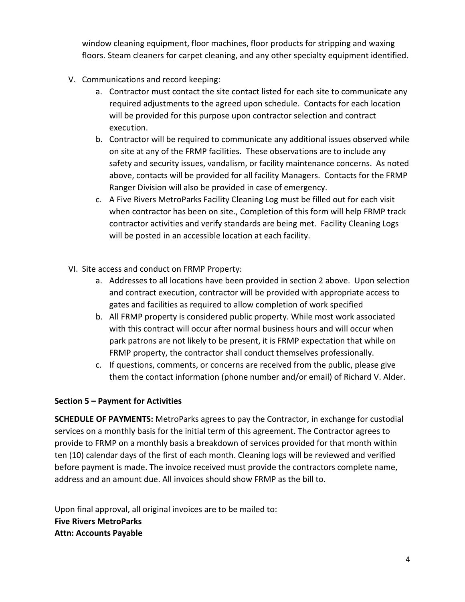window cleaning equipment, floor machines, floor products for stripping and waxing floors. Steam cleaners for carpet cleaning, and any other specialty equipment identified.

- V. Communications and record keeping:
	- a. Contractor must contact the site contact listed for each site to communicate any required adjustments to the agreed upon schedule. Contacts for each location will be provided for this purpose upon contractor selection and contract execution.
	- b. Contractor will be required to communicate any additional issues observed while on site at any of the FRMP facilities. These observations are to include any safety and security issues, vandalism, or facility maintenance concerns. As noted above, contacts will be provided for all facility Managers. Contacts for the FRMP Ranger Division will also be provided in case of emergency.
	- c. A Five Rivers MetroParks Facility Cleaning Log must be filled out for each visit when contractor has been on site., Completion of this form will help FRMP track contractor activities and verify standards are being met. Facility Cleaning Logs will be posted in an accessible location at each facility.
- VI. Site access and conduct on FRMP Property:
	- a. Addresses to all locations have been provided in section 2 above. Upon selection and contract execution, contractor will be provided with appropriate access to gates and facilities as required to allow completion of work specified
	- b. All FRMP property is considered public property. While most work associated with this contract will occur after normal business hours and will occur when park patrons are not likely to be present, it is FRMP expectation that while on FRMP property, the contractor shall conduct themselves professionally.
	- c. If questions, comments, or concerns are received from the public, please give them the contact information (phone number and/or email) of Richard V. Alder.

#### **Section 5 – Payment for Activities**

**SCHEDULE OF PAYMENTS:** MetroParks agrees to pay the Contractor, in exchange for custodial services on a monthly basis for the initial term of this agreement. The Contractor agrees to provide to FRMP on a monthly basis a breakdown of services provided for that month within ten (10) calendar days of the first of each month. Cleaning logs will be reviewed and verified before payment is made. The invoice received must provide the contractors complete name, address and an amount due. All invoices should show FRMP as the bill to.

Upon final approval, all original invoices are to be mailed to: **Five Rivers MetroParks Attn: Accounts Payable**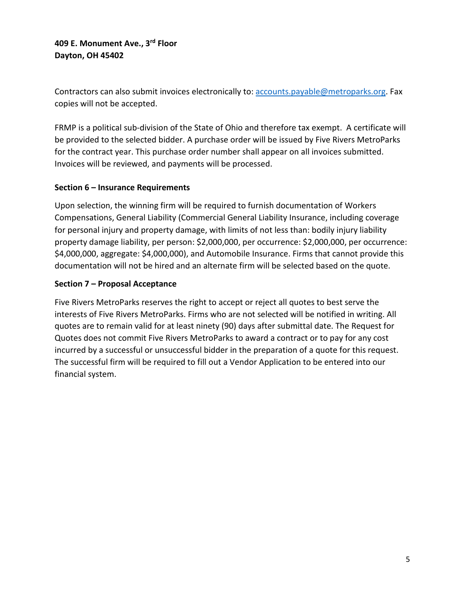**409 E. Monument Ave., 3rd Floor Dayton, OH 45402**

Contractors can also submit invoices electronically to[: accounts.payable@metroparks.org.](mailto:accounts.payable@metroparks.org) Fax copies will not be accepted.

FRMP is a political sub-division of the State of Ohio and therefore tax exempt. A certificate will be provided to the selected bidder. A purchase order will be issued by Five Rivers MetroParks for the contract year. This purchase order number shall appear on all invoices submitted. Invoices will be reviewed, and payments will be processed.

#### **Section 6 – Insurance Requirements**

Upon selection, the winning firm will be required to furnish documentation of Workers Compensations, General Liability (Commercial General Liability Insurance, including coverage for personal injury and property damage, with limits of not less than: bodily injury liability property damage liability, per person: \$2,000,000, per occurrence: \$2,000,000, per occurrence: \$4,000,000, aggregate: \$4,000,000), and Automobile Insurance. Firms that cannot provide this documentation will not be hired and an alternate firm will be selected based on the quote.

#### **Section 7 – Proposal Acceptance**

Five Rivers MetroParks reserves the right to accept or reject all quotes to best serve the interests of Five Rivers MetroParks. Firms who are not selected will be notified in writing. All quotes are to remain valid for at least ninety (90) days after submittal date. The Request for Quotes does not commit Five Rivers MetroParks to award a contract or to pay for any cost incurred by a successful or unsuccessful bidder in the preparation of a quote for this request. The successful firm will be required to fill out a Vendor Application to be entered into our financial system.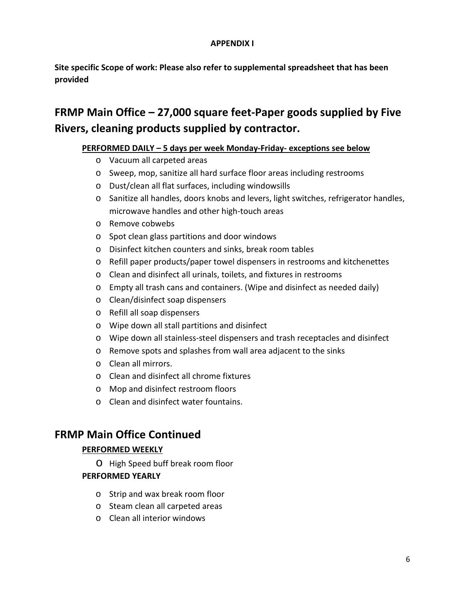#### **APPENDIX I**

**Site specific Scope of work: Please also refer to supplemental spreadsheet that has been provided**

## **FRMP Main Office – 27,000 square feet-Paper goods supplied by Five Rivers, cleaning products supplied by contractor.**

#### **PERFORMED DAILY – 5 days per week Monday-Friday- exceptions see below**

- o Vacuum all carpeted areas
- o Sweep, mop, sanitize all hard surface floor areas including restrooms
- o Dust/clean all flat surfaces, including windowsills
- o Sanitize all handles, doors knobs and levers, light switches, refrigerator handles, microwave handles and other high-touch areas
- o Remove cobwebs
- o Spot clean glass partitions and door windows
- o Disinfect kitchen counters and sinks, break room tables
- o Refill paper products/paper towel dispensers in restrooms and kitchenettes
- o Clean and disinfect all urinals, toilets, and fixtures in restrooms
- o Empty all trash cans and containers. (Wipe and disinfect as needed daily)
- o Clean/disinfect soap dispensers
- o Refill all soap dispensers
- o Wipe down all stall partitions and disinfect
- o Wipe down all stainless-steel dispensers and trash receptacles and disinfect
- o Remove spots and splashes from wall area adjacent to the sinks
- o Clean all mirrors.
- o Clean and disinfect all chrome fixtures
- o Mop and disinfect restroom floors
- o Clean and disinfect water fountains.

## **FRMP Main Office Continued**

#### **PERFORMED WEEKLY**

o High Speed buff break room floor

#### **PERFORMED YEARLY**

- o Strip and wax break room floor
- o Steam clean all carpeted areas
- o Clean all interior windows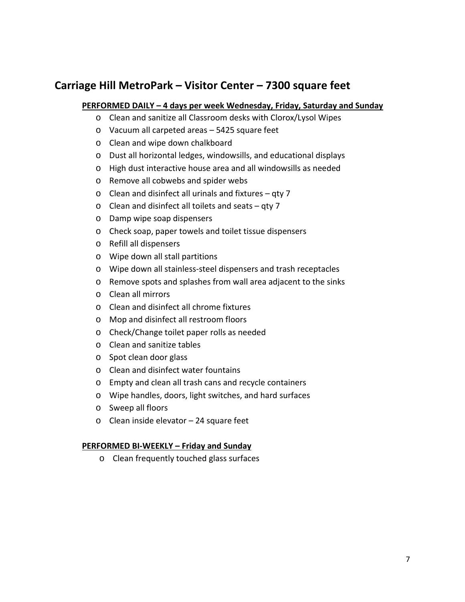## **Carriage Hill MetroPark – Visitor Center – 7300 square feet**

#### **PERFORMED DAILY – 4 days per week Wednesday, Friday, Saturday and Sunday**

- o Clean and sanitize all Classroom desks with Clorox/Lysol Wipes
- o Vacuum all carpeted areas 5425 square feet
- o Clean and wipe down chalkboard
- o Dust all horizontal ledges, windowsills, and educational displays
- o High dust interactive house area and all windowsills as needed
- o Remove all cobwebs and spider webs
- o Clean and disinfect all urinals and fixtures qty 7
- o Clean and disinfect all toilets and seats qty 7
- o Damp wipe soap dispensers
- o Check soap, paper towels and toilet tissue dispensers
- o Refill all dispensers
- o Wipe down all stall partitions
- o Wipe down all stainless-steel dispensers and trash receptacles
- o Remove spots and splashes from wall area adjacent to the sinks
- o Clean all mirrors
- o Clean and disinfect all chrome fixtures
- o Mop and disinfect all restroom floors
- o Check/Change toilet paper rolls as needed
- o Clean and sanitize tables
- o Spot clean door glass
- o Clean and disinfect water fountains
- o Empty and clean all trash cans and recycle containers
- o Wipe handles, doors, light switches, and hard surfaces
- o Sweep all floors
- o Clean inside elevator 24 square feet

#### **PERFORMED BI-WEEKLY – Friday and Sunday**

o Clean frequently touched glass surfaces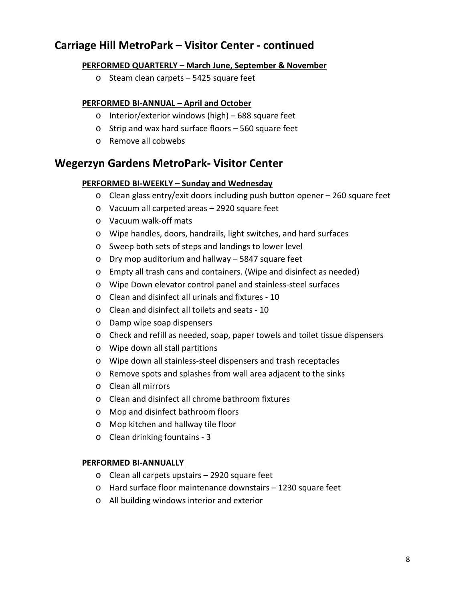## **Carriage Hill MetroPark – Visitor Center - continued**

#### **PERFORMED QUARTERLY – March June, September & November**

o Steam clean carpets – 5425 square feet

#### **PERFORMED BI-ANNUAL – April and October**

- o Interior/exterior windows (high) 688 square feet
- o Strip and wax hard surface floors 560 square feet
- o Remove all cobwebs

## **Wegerzyn Gardens MetroPark- Visitor Center**

#### **PERFORMED BI-WEEKLY – Sunday and Wednesday**

- o Clean glass entry/exit doors including push button opener 260 square feet
- o Vacuum all carpeted areas 2920 square feet
- o Vacuum walk-off mats
- o Wipe handles, doors, handrails, light switches, and hard surfaces
- o Sweep both sets of steps and landings to lower level
- o Dry mop auditorium and hallway 5847 square feet
- o Empty all trash cans and containers. (Wipe and disinfect as needed)
- o Wipe Down elevator control panel and stainless-steel surfaces
- o Clean and disinfect all urinals and fixtures 10
- o Clean and disinfect all toilets and seats 10
- o Damp wipe soap dispensers
- o Check and refill as needed, soap, paper towels and toilet tissue dispensers
- o Wipe down all stall partitions
- o Wipe down all stainless-steel dispensers and trash receptacles
- o Remove spots and splashes from wall area adjacent to the sinks
- o Clean all mirrors
- o Clean and disinfect all chrome bathroom fixtures
- o Mop and disinfect bathroom floors
- o Mop kitchen and hallway tile floor
- o Clean drinking fountains 3

#### **PERFORMED BI-ANNUALLY**

- o Clean all carpets upstairs 2920 square feet
- o Hard surface floor maintenance downstairs 1230 square feet
- o All building windows interior and exterior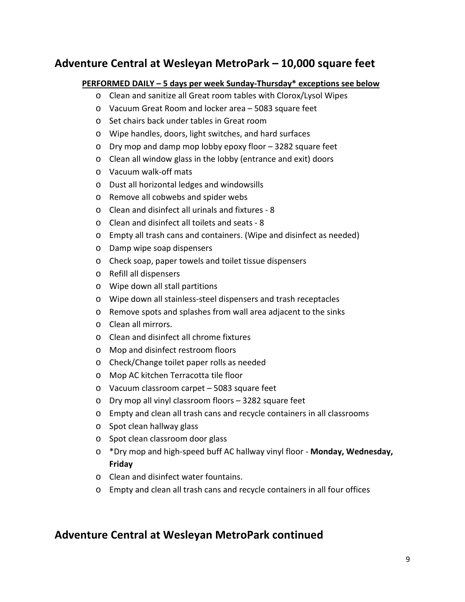## **Adventure Central at Wesleyan MetroPark – 10,000 square feet**

#### **PERFORMED DAILY – 5 days per week Sunday-Thursday\* exceptions see below**

- o Clean and sanitize all Great room tables with Clorox/Lysol Wipes
- o Vacuum Great Room and locker area 5083 square feet
- o Set chairs back under tables in Great room
- o Wipe handles, doors, light switches, and hard surfaces
- o Dry mop and damp mop lobby epoxy floor 3282 square feet
- o Clean all window glass in the lobby (entrance and exit) doors
- o Vacuum walk-off mats
- o Dust all horizontal ledges and windowsills
- o Remove all cobwebs and spider webs
- o Clean and disinfect all urinals and fixtures 8
- o Clean and disinfect all toilets and seats 8
- o Empty all trash cans and containers. (Wipe and disinfect as needed)
- o Damp wipe soap dispensers
- o Check soap, paper towels and toilet tissue dispensers
- o Refill all dispensers
- o Wipe down all stall partitions
- o Wipe down all stainless-steel dispensers and trash receptacles
- o Remove spots and splashes from wall area adjacent to the sinks
- o Clean all mirrors.
- o Clean and disinfect all chrome fixtures
- o Mop and disinfect restroom floors
- o Check/Change toilet paper rolls as needed
- o Mop AC kitchen Terracotta tile floor
- o Vacuum classroom carpet 5083 square feet
- o Dry mop all vinyl classroom floors 3282 square feet
- o Empty and clean all trash cans and recycle containers in all classrooms
- o Spot clean hallway glass
- o Spot clean classroom door glass
- o \*Dry mop and high-speed buff AC hallway vinyl floor **Monday, Wednesday, Friday**
- o Clean and disinfect water fountains.
- o Empty and clean all trash cans and recycle containers in all four offices

## **Adventure Central at Wesleyan MetroPark continued**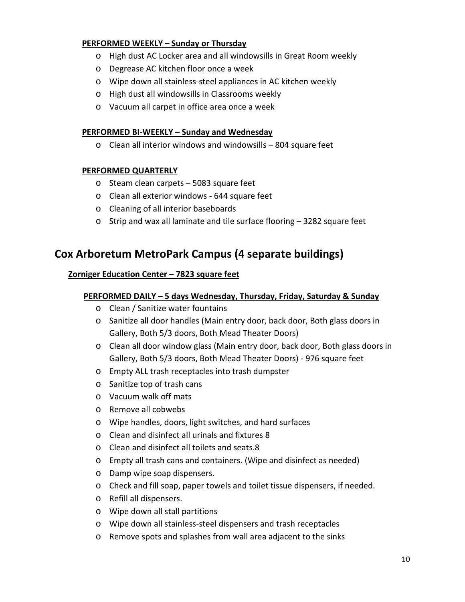#### **PERFORMED WEEKLY – Sunday or Thursday**

- o High dust AC Locker area and all windowsills in Great Room weekly
- o Degrease AC kitchen floor once a week
- o Wipe down all stainless-steel appliances in AC kitchen weekly
- o High dust all windowsills in Classrooms weekly
- o Vacuum all carpet in office area once a week

#### **PERFORMED BI-WEEKLY – Sunday and Wednesday**

o Clean all interior windows and windowsills – 804 square feet

#### **PERFORMED QUARTERLY**

- o Steam clean carpets 5083 square feet
- o Clean all exterior windows 644 square feet
- o Cleaning of all interior baseboards
- o Strip and wax all laminate and tile surface flooring 3282 square feet

### **Cox Arboretum MetroPark Campus (4 separate buildings)**

#### **Zorniger Education Center – 7823 square feet**

#### **PERFORMED DAILY – 5 days Wednesday, Thursday, Friday, Saturday & Sunday**

- o Clean / Sanitize water fountains
- o Sanitize all door handles (Main entry door, back door, Both glass doors in Gallery, Both 5/3 doors, Both Mead Theater Doors)
- o Clean all door window glass (Main entry door, back door, Both glass doors in Gallery, Both 5/3 doors, Both Mead Theater Doors) - 976 square feet
- o Empty ALL trash receptacles into trash dumpster
- o Sanitize top of trash cans
- o Vacuum walk off mats
- o Remove all cobwebs
- o Wipe handles, doors, light switches, and hard surfaces
- o Clean and disinfect all urinals and fixtures 8
- o Clean and disinfect all toilets and seats.8
- o Empty all trash cans and containers. (Wipe and disinfect as needed)
- o Damp wipe soap dispensers.
- o Check and fill soap, paper towels and toilet tissue dispensers, if needed.
- o Refill all dispensers.
- o Wipe down all stall partitions
- o Wipe down all stainless-steel dispensers and trash receptacles
- o Remove spots and splashes from wall area adjacent to the sinks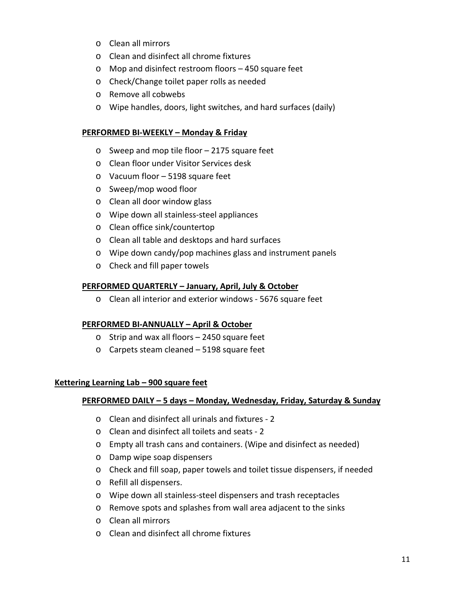- o Clean all mirrors
- o Clean and disinfect all chrome fixtures
- o Mop and disinfect restroom floors 450 square feet
- o Check/Change toilet paper rolls as needed
- o Remove all cobwebs
- o Wipe handles, doors, light switches, and hard surfaces (daily)

#### **PERFORMED BI-WEEKLY – Monday & Friday**

- o Sweep and mop tile floor 2175 square feet
- o Clean floor under Visitor Services desk
- o Vacuum floor 5198 square feet
- o Sweep/mop wood floor
- o Clean all door window glass
- o Wipe down all stainless-steel appliances
- o Clean office sink/countertop
- o Clean all table and desktops and hard surfaces
- o Wipe down candy/pop machines glass and instrument panels
- o Check and fill paper towels

#### **PERFORMED QUARTERLY – January, April, July & October**

o Clean all interior and exterior windows - 5676 square feet

#### **PERFORMED BI-ANNUALLY – April & October**

- o Strip and wax all floors 2450 square feet
- o Carpets steam cleaned 5198 square feet

#### **Kettering Learning Lab – 900 square feet**

#### **PERFORMED DAILY – 5 days – Monday, Wednesday, Friday, Saturday & Sunday**

- o Clean and disinfect all urinals and fixtures 2
- o Clean and disinfect all toilets and seats 2
- o Empty all trash cans and containers. (Wipe and disinfect as needed)
- o Damp wipe soap dispensers
- o Check and fill soap, paper towels and toilet tissue dispensers, if needed
- o Refill all dispensers.
- o Wipe down all stainless-steel dispensers and trash receptacles
- o Remove spots and splashes from wall area adjacent to the sinks
- o Clean all mirrors
- o Clean and disinfect all chrome fixtures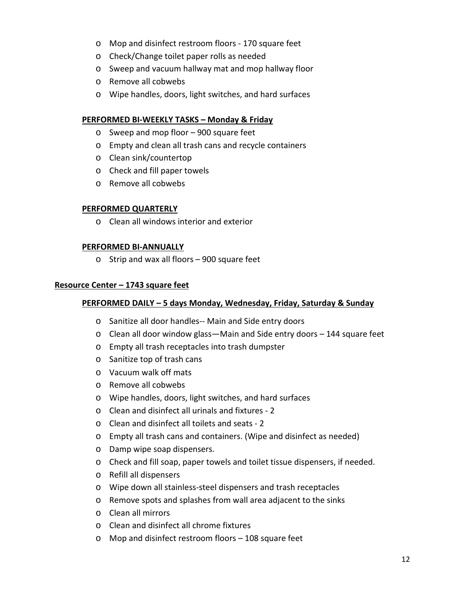- o Mop and disinfect restroom floors 170 square feet
- o Check/Change toilet paper rolls as needed
- o Sweep and vacuum hallway mat and mop hallway floor
- o Remove all cobwebs
- o Wipe handles, doors, light switches, and hard surfaces

#### **PERFORMED BI-WEEKLY TASKS – Monday & Friday**

- o Sweep and mop floor 900 square feet
- o Empty and clean all trash cans and recycle containers
- o Clean sink/countertop
- o Check and fill paper towels
- o Remove all cobwebs

#### **PERFORMED QUARTERLY**

o Clean all windows interior and exterior

#### **PERFORMED BI-ANNUALLY**

o Strip and wax all floors – 900 square feet

#### **Resource Center – 1743 square feet**

#### **PERFORMED DAILY – 5 days Monday, Wednesday, Friday, Saturday & Sunday**

- o Sanitize all door handles-- Main and Side entry doors
- o Clean all door window glass—Main and Side entry doors 144 square feet
- o Empty all trash receptacles into trash dumpster
- o Sanitize top of trash cans
- o Vacuum walk off mats
- o Remove all cobwebs
- o Wipe handles, doors, light switches, and hard surfaces
- o Clean and disinfect all urinals and fixtures 2
- o Clean and disinfect all toilets and seats 2
- o Empty all trash cans and containers. (Wipe and disinfect as needed)
- o Damp wipe soap dispensers.
- o Check and fill soap, paper towels and toilet tissue dispensers, if needed.
- o Refill all dispensers
- o Wipe down all stainless-steel dispensers and trash receptacles
- o Remove spots and splashes from wall area adjacent to the sinks
- o Clean all mirrors
- o Clean and disinfect all chrome fixtures
- o Mop and disinfect restroom floors 108 square feet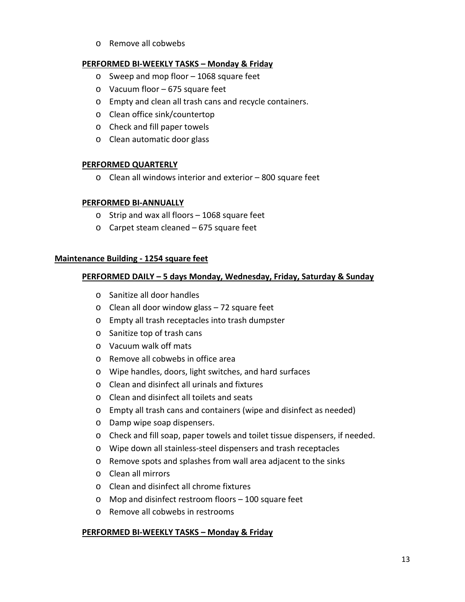o Remove all cobwebs

#### **PERFORMED BI-WEEKLY TASKS – Monday & Friday**

- o Sweep and mop floor 1068 square feet
- o Vacuum floor 675 square feet
- o Empty and clean all trash cans and recycle containers.
- o Clean office sink/countertop
- o Check and fill paper towels
- o Clean automatic door glass

#### **PERFORMED QUARTERLY**

o Clean all windows interior and exterior – 800 square feet

#### **PERFORMED BI-ANNUALLY**

- o Strip and wax all floors 1068 square feet
- o Carpet steam cleaned 675 square feet

#### **Maintenance Building - 1254 square feet**

#### **PERFORMED DAILY – 5 days Monday, Wednesday, Friday, Saturday & Sunday**

- o Sanitize all door handles
- o Clean all door window glass 72 square feet
- o Empty all trash receptacles into trash dumpster
- o Sanitize top of trash cans
- o Vacuum walk off mats
- o Remove all cobwebs in office area
- o Wipe handles, doors, light switches, and hard surfaces
- o Clean and disinfect all urinals and fixtures
- o Clean and disinfect all toilets and seats
- o Empty all trash cans and containers (wipe and disinfect as needed)
- o Damp wipe soap dispensers.
- o Check and fill soap, paper towels and toilet tissue dispensers, if needed.
- o Wipe down all stainless-steel dispensers and trash receptacles
- o Remove spots and splashes from wall area adjacent to the sinks
- o Clean all mirrors
- o Clean and disinfect all chrome fixtures
- o Mop and disinfect restroom floors 100 square feet
- o Remove all cobwebs in restrooms

#### **PERFORMED BI-WEEKLY TASKS – Monday & Friday**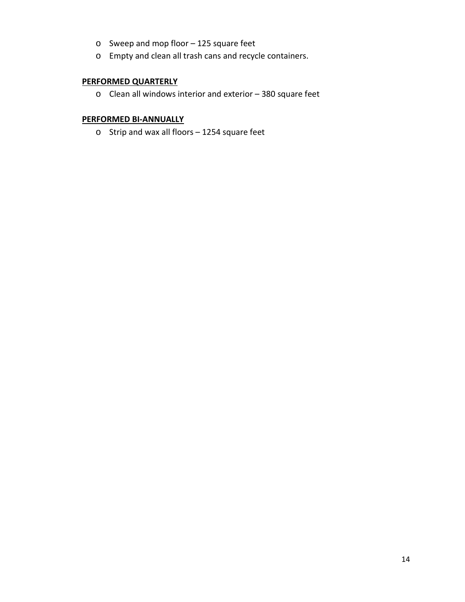- o Sweep and mop floor 125 square feet
- o Empty and clean all trash cans and recycle containers.

#### **PERFORMED QUARTERLY**

o Clean all windows interior and exterior – 380 square feet

#### **PERFORMED BI-ANNUALLY**

o Strip and wax all floors – 1254 square feet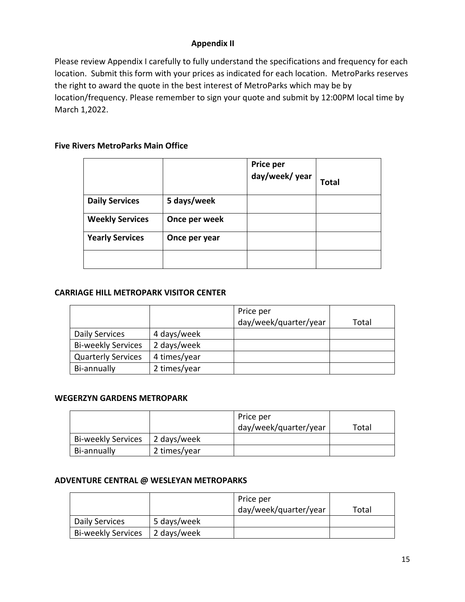#### **Appendix II**

Please review Appendix I carefully to fully understand the specifications and frequency for each location. Submit this form with your prices as indicated for each location. MetroParks reserves the right to award the quote in the best interest of MetroParks which may be by location/frequency. Please remember to sign your quote and submit by 12:00PM local time by March 1,2022.

#### **Five Rivers MetroParks Main Office**

|                        |               | Price per<br>day/week/year | Total |
|------------------------|---------------|----------------------------|-------|
| <b>Daily Services</b>  | 5 days/week   |                            |       |
| <b>Weekly Services</b> | Once per week |                            |       |
| <b>Yearly Services</b> | Once per year |                            |       |
|                        |               |                            |       |

#### **CARRIAGE HILL METROPARK VISITOR CENTER**

|                           |              | Price per             |       |
|---------------------------|--------------|-----------------------|-------|
|                           |              | day/week/quarter/year | Total |
| Daily Services            | 4 days/week  |                       |       |
| <b>Bi-weekly Services</b> | 2 days/week  |                       |       |
| <b>Quarterly Services</b> | 4 times/year |                       |       |
| Bi-annually               | 2 times/year |                       |       |

#### **WEGERZYN GARDENS METROPARK**

|                           |              | Price per             |       |
|---------------------------|--------------|-----------------------|-------|
|                           |              | day/week/quarter/year | Total |
| <b>Bi-weekly Services</b> | 2 days/week  |                       |       |
| Bi-annually               | 2 times/year |                       |       |

#### **ADVENTURE CENTRAL @ WESLEYAN METROPARKS**

|                           |             | Price per             |       |
|---------------------------|-------------|-----------------------|-------|
|                           |             | day/week/quarter/year | Total |
| Daily Services            | 5 days/week |                       |       |
| <b>Bi-weekly Services</b> | 2 days/week |                       |       |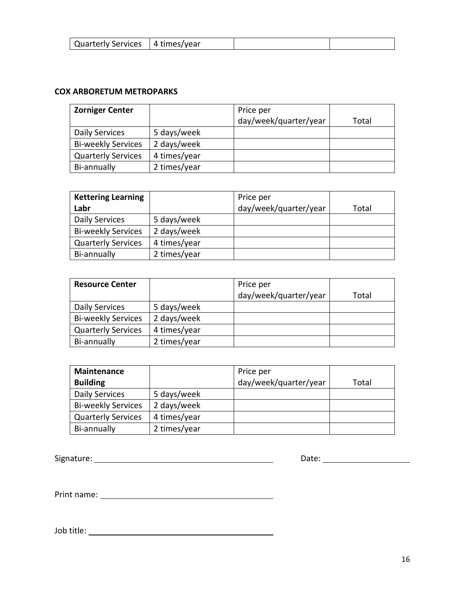| Quarterly Services   4 times/year |  |  |  |
|-----------------------------------|--|--|--|
|-----------------------------------|--|--|--|

#### **COX ARBORETUM METROPARKS**

| <b>Zorniger Center</b>    |              | Price per             |       |
|---------------------------|--------------|-----------------------|-------|
|                           |              | day/week/quarter/year | Total |
| Daily Services            | 5 days/week  |                       |       |
| <b>Bi-weekly Services</b> | 2 days/week  |                       |       |
| <b>Quarterly Services</b> | 4 times/year |                       |       |
| Bi-annually               | 2 times/year |                       |       |

| <b>Kettering Learning</b> |              | Price per             |       |
|---------------------------|--------------|-----------------------|-------|
| Labr                      |              | day/week/quarter/year | Total |
| Daily Services            | 5 days/week  |                       |       |
| <b>Bi-weekly Services</b> | 2 days/week  |                       |       |
| <b>Quarterly Services</b> | 4 times/year |                       |       |
| Bi-annually               | 2 times/year |                       |       |

| <b>Resource Center</b>    |              | Price per             |       |
|---------------------------|--------------|-----------------------|-------|
|                           |              | day/week/quarter/year | Total |
| Daily Services            | 5 days/week  |                       |       |
| <b>Bi-weekly Services</b> | 2 days/week  |                       |       |
| <b>Quarterly Services</b> | 4 times/year |                       |       |
| Bi-annually               | 2 times/year |                       |       |

| <b>Maintenance</b>        |              | Price per             |       |
|---------------------------|--------------|-----------------------|-------|
| <b>Building</b>           |              | day/week/quarter/year | Total |
| <b>Daily Services</b>     | 5 days/week  |                       |       |
| <b>Bi-weekly Services</b> | 2 days/week  |                       |       |
| <b>Quarterly Services</b> | 4 times/year |                       |       |
| Bi-annually               | 2 times/year |                       |       |

Signature: Date:

Print name:

Job title: